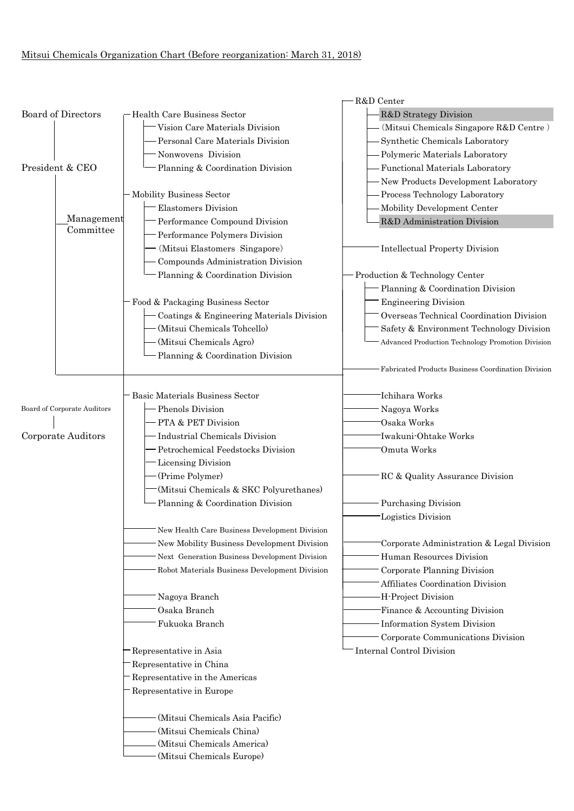## Mitsui Chemicals Organization Chart (Before reorganization: March 31, 2018)

|                                                                         |                                               | R&D Center                                         |
|-------------------------------------------------------------------------|-----------------------------------------------|----------------------------------------------------|
| <b>Board of Directors</b><br>President & CEO<br>Management<br>Committee | -Health Care Business Sector                  | R&D Strategy Division                              |
|                                                                         | Vision Care Materials Division                | (Mitsui Chemicals Singapore R&D Centre)            |
|                                                                         | Personal Care Materials Division              | Synthetic Chemicals Laboratory                     |
|                                                                         | Nonwovens Division                            | - Polymeric Materials Laboratory                   |
|                                                                         | Planning & Coordination Division              | Functional Materials Laboratory                    |
|                                                                         |                                               | - New Products Development Laboratory              |
|                                                                         | Mobility Business Sector                      | - Process Technology Laboratory                    |
|                                                                         | <b>Elastomers Division</b>                    | - Mobility Development Center                      |
|                                                                         | Performance Compound Division                 | R&D Administration Division                        |
|                                                                         | Performance Polymers Division                 |                                                    |
|                                                                         | (Mitsui Elastomers Singapore)                 | Intellectual Property Division                     |
|                                                                         | Compounds Administration Division             |                                                    |
|                                                                         | Planning & Coordination Division              | Production & Technology Center                     |
|                                                                         |                                               | Planning & Coordination Division                   |
|                                                                         | Food & Packaging Business Sector              | <b>Engineering Division</b>                        |
|                                                                         | Coatings & Engineering Materials Division     | Overseas Technical Coordination Division           |
|                                                                         | (Mitsui Chemicals Tohcello)                   | Safety & Environment Technology Division           |
|                                                                         | (Mitsui Chemicals Agro)                       | Advanced Production Technology Promotion Division  |
|                                                                         | Planning & Coordination Division              |                                                    |
|                                                                         |                                               | Fabricated Products Business Coordination Division |
|                                                                         |                                               |                                                    |
|                                                                         |                                               |                                                    |
|                                                                         | <b>Basic Materials Business Sector</b>        | Ichihara Works                                     |
| Board of Corporate Auditors                                             | Phenols Division                              | Nagoya Works                                       |
|                                                                         | PTA & PET Division                            | Osaka Works                                        |
| Corporate Auditors                                                      | <b>Industrial Chemicals Division</b>          | Iwakuni-Ohtake Works                               |
|                                                                         | Petrochemical Feedstocks Division             | Omuta Works                                        |
|                                                                         | Licensing Division                            |                                                    |
|                                                                         | (Prime Polymer)                               | RC & Quality Assurance Division                    |
|                                                                         | (Mitsui Chemicals & SKC Polyurethanes)        |                                                    |
|                                                                         | Planning & Coordination Division              | <b>Purchasing Division</b>                         |
|                                                                         |                                               | Logistics Division                                 |
|                                                                         | New Health Care Business Development Division |                                                    |
|                                                                         | New Mobility Business Development Division    | Corporate Administration & Legal Division          |
|                                                                         | Next Generation Business Development Division | Human Resources Division                           |
|                                                                         | Robot Materials Business Development Division | Corporate Planning Division                        |
|                                                                         |                                               | Affiliates Coordination Division                   |
|                                                                         | Nagoya Branch                                 | H-Project Division                                 |
|                                                                         | Osaka Branch                                  | Finance & Accounting Division                      |
|                                                                         | Fukuoka Branch                                | Information System Division                        |
|                                                                         |                                               | Corporate Communications Division                  |
|                                                                         | Representative in Asia                        | <b>Internal Control Division</b>                   |
|                                                                         | Representative in China                       |                                                    |
|                                                                         | Representative in the Americas                |                                                    |
|                                                                         | Representative in Europe                      |                                                    |
|                                                                         |                                               |                                                    |
|                                                                         | (Mitsui Chemicals Asia Pacific)               |                                                    |
|                                                                         | (Mitsui Chemicals China)                      |                                                    |
|                                                                         | (Mitsui Chemicals America)                    |                                                    |
|                                                                         | (Mitsui Chemicals Europe)                     |                                                    |
|                                                                         |                                               |                                                    |